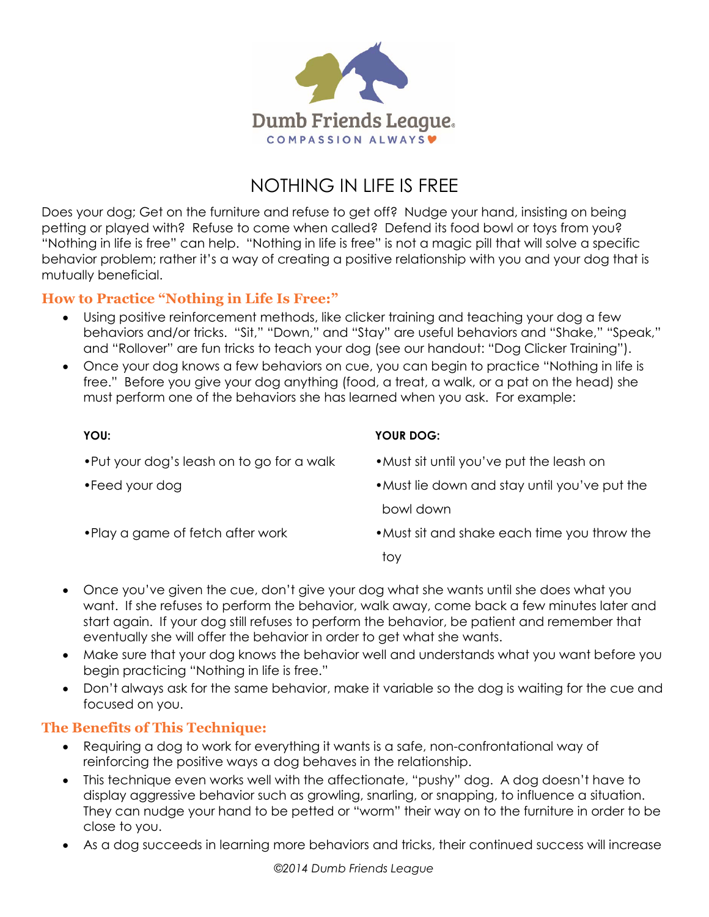

# NOTHING IN LIFE IS FREE

Does your dog; Get on the furniture and refuse to get off? Nudge your hand, insisting on being petting or played with? Refuse to come when called? Defend its food bowl or toys from you? "Nothing in life is free" can help. "Nothing in life is free" is not a magic pill that will solve a specific behavior problem; rather it's a way of creating a positive relationship with you and your dog that is mutually beneficial.

## **How to Practice "Nothing in Life Is Free:"**

- Using positive reinforcement methods, like clicker training and teaching your dog a few behaviors and/or tricks. "Sit," "Down," and "Stay" are useful behaviors and "Shake," "Speak," and "Rollover" are fun tricks to teach your dog (see our handout: "Dog Clicker Training").
- Once your dog knows a few behaviors on cue, you can begin to practice "Nothing in life is free." Before you give your dog anything (food, a treat, a walk, or a pat on the head) she must perform one of the behaviors she has learned when you ask. For example:

| YOU:                                       | YOUR DOG:                                                                            |
|--------------------------------------------|--------------------------------------------------------------------------------------|
| . Put your dog's leash on to go for a walk | • Must sit until you've put the leash on                                             |
| •Feed your dog                             | • Must lie down and stay until you've put the                                        |
|                                            | bowl down                                                                            |
| • Play a game of fetch after work          | • Must sit and shake each time you throw the                                         |
|                                            | toy                                                                                  |
|                                            | Open values given the cup den't give your dea what the wants until the deep what you |

- Once you've given the cue, don't give your dog what she wants until she does what you want. If she refuses to perform the behavior, walk away, come back a few minutes later and start again. If your dog still refuses to perform the behavior, be patient and remember that eventually she will offer the behavior in order to get what she wants.
- Make sure that your dog knows the behavior well and understands what you want before you begin practicing "Nothing in life is free."
- Don't always ask for the same behavior, make it variable so the dog is waiting for the cue and focused on you.

## **The Benefits of This Technique:**

- Requiring a dog to work for everything it wants is a safe, non-confrontational way of reinforcing the positive ways a dog behaves in the relationship.
- This technique even works well with the affectionate, "pushy" dog. A dog doesn't have to display aggressive behavior such as growling, snarling, or snapping, to influence a situation. They can nudge your hand to be petted or "worm" their way on to the furniture in order to be close to you.
- As a dog succeeds in learning more behaviors and tricks, their continued success will increase